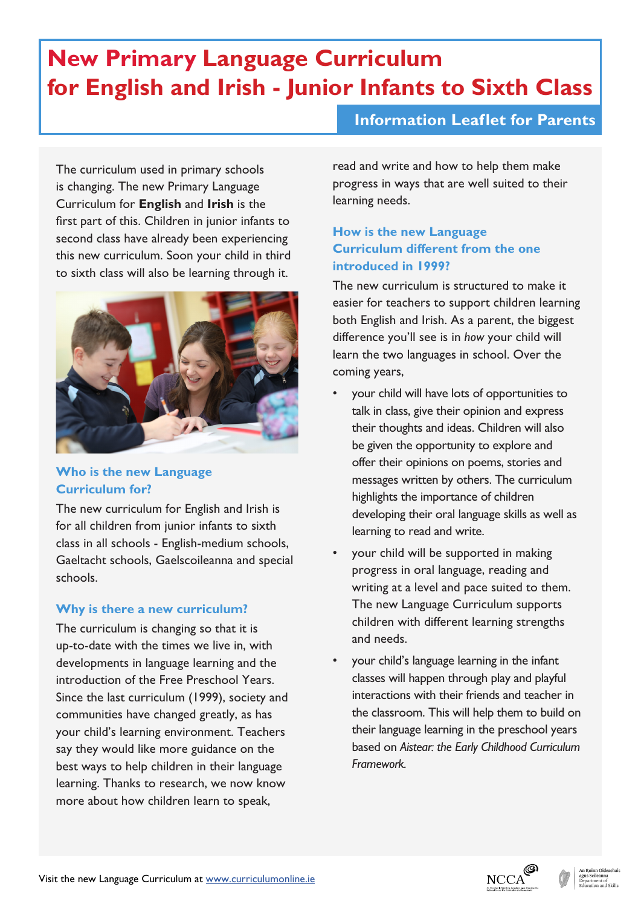# **New Primary Language Curriculum for English and Irish - Junior Infants to Sixth Class**

## **Information Leaflet for Parents**

The curriculum used in primary schools is changing. The new Primary Language Curriculum for **English** and **Irish** is the first part of this. Children in junior infants to second class have already been experiencing this new curriculum. Soon your child in third to sixth class will also be learning through it.



#### **Who is the new Language Curriculum for?**

The new curriculum for English and Irish is for all children from junior infants to sixth class in all schools - English-medium schools, Gaeltacht schools, Gaelscoileanna and special schools.

#### **Why is there a new curriculum?**

The curriculum is changing so that it is up-to-date with the times we live in, with developments in language learning and the introduction of the Free Preschool Years. Since the last curriculum (1999), society and communities have changed greatly, as has your child's learning environment. Teachers say they would like more guidance on the best ways to help children in their language learning. Thanks to research, we now know more about how children learn to speak,

read and write and how to help them make progress in ways that are well suited to their learning needs.

## **How is the new Language Curriculum different from the one introduced in 1999?**

The new curriculum is structured to make it easier for teachers to support children learning both English and Irish. As a parent, the biggest difference you'll see is in *how* your child will learn the two languages in school. Over the coming years,

- your child will have lots of opportunities to talk in class, give their opinion and express their thoughts and ideas. Children will also be given the opportunity to explore and offer their opinions on poems, stories and messages written by others. The curriculum highlights the importance of children developing their oral language skills as well as learning to read and write.
- your child will be supported in making progress in oral language, reading and writing at a level and pace suited to them. The new Language Curriculum supports children with different learning strengths and needs.
- your child's language learning in the infant classes will happen through play and playful interactions with their friends and teacher in the classroom. This will help them to build on their language learning in the preschool years based on *Aistear: the Early Childhood Curriculum Framework.*